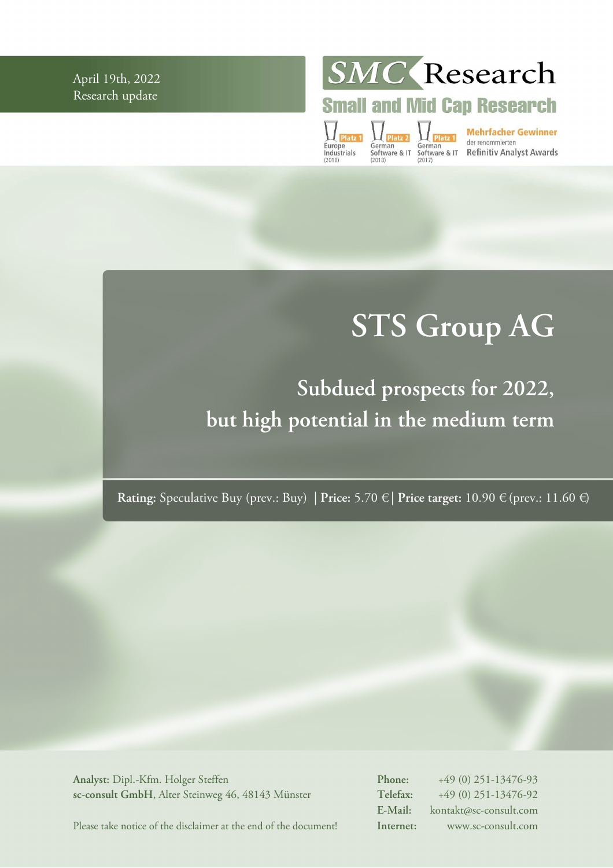April 19th, 2022 Research update

SMC Research

**Small and Mid Cap Research** 

 $\prod_{\text{Platz }1}$ Europe<br>Industrials

German<br>
German<br>
Software & IT Software & IT Refinitiv Analyst Awards<br>
(2018)<br>
(2018)

# **STS Group AG**

**Subdued prospects for 2022, but high potential in the medium term** 

**Rating:** Speculative Buy (prev.: Buy) | **Price:** 5.70 € | **Price target:** 10.90 € (prev.: 11.60 €)

**Analyst:** Dipl.-Kfm. Holger Steffen **sc-consult GmbH**, Alter Steinweg 46, 48143 Münster **Phone:** +49 (0) 251-13476-93 **Telefax:** +49 (0) 251-13476-92 **E-Mail:** kontakt@sc-consult.com **Internet:** www.sc-consult.com

Please take notice of the disclaimer at the end of the document!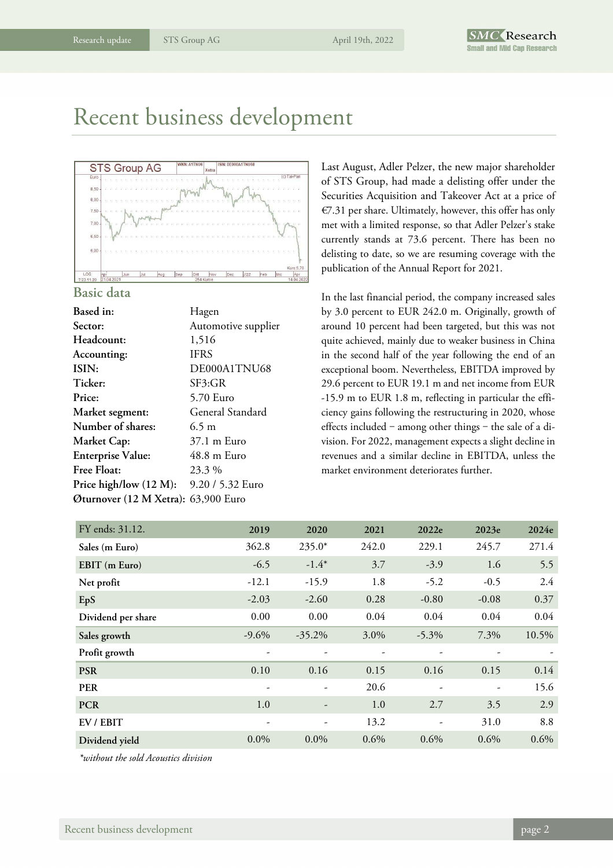### Recent business development



#### **Basic data**

| Based in:                           | Hagen               |
|-------------------------------------|---------------------|
| Sector:                             | Automotive supplier |
| Headcount:                          | 1,516               |
| Accounting:                         | <b>IFRS</b>         |
| ISIN:                               | DE000A1TNU68        |
| Ticker:                             | SF3:GR              |
| Price:                              | 5.70 Euro           |
| Market segment:                     | General Standard    |
| Number of shares:                   | $6.5 \text{ m}$     |
| Market Cap:                         | 37.1 m Euro         |
| <b>Enterprise Value:</b>            | 48.8 m Euro         |
| <b>Free Float:</b>                  | 23.3 %              |
| Price high/low $(12 M)$ :           | 9.20 / 5.32 Euro    |
| Øturnover (12 M Xetra): 63,900 Euro |                     |
|                                     |                     |

Last August, Adler Pelzer, the new major shareholder of STS Group, had made a delisting offer under the Securities Acquisition and Takeover Act at a price of €7.31 per share. Ultimately, however, this offer has only met with a limited response, so that Adler Pelzer's stake currently stands at 73.6 percent. There has been no delisting to date, so we are resuming coverage with the publication of the Annual Report for 2021.

In the last financial period, the company increased sales by 3.0 percent to EUR 242.0 m. Originally, growth of around 10 percent had been targeted, but this was not quite achieved, mainly due to weaker business in China in the second half of the year following the end of an exceptional boom. Nevertheless, EBITDA improved by 29.6 percent to EUR 19.1 m and net income from EUR -15.9 m to EUR 1.8 m, reflecting in particular the efficiency gains following the restructuring in 2020, whose effects included  $-$  among other things  $-$  the sale of a division. For 2022, management expects a slight decline in revenues and a similar decline in EBITDA, unless the market environment deteriorates further.

| FY ends: 31.12.    | 2019     | 2020                     | 2021  | 2022e                    | 2023e   | 2024e |
|--------------------|----------|--------------------------|-------|--------------------------|---------|-------|
| Sales (m Euro)     | 362.8    | $235.0*$                 | 242.0 | 229.1                    | 245.7   | 271.4 |
| EBIT (m Euro)      | $-6.5$   | $-1.4*$                  | 3.7   | $-3.9$                   | 1.6     | 5.5   |
| Net profit         | $-12.1$  | $-15.9$                  | 1.8   | $-5.2$                   | $-0.5$  | 2.4   |
| EpS                | $-2.03$  | $-2.60$                  | 0.28  | $-0.80$                  | $-0.08$ | 0.37  |
| Dividend per share | 0.00     | 0.00                     | 0.04  | 0.04                     | 0.04    | 0.04  |
| Sales growth       | $-9.6\%$ | $-35.2\%$                | 3.0%  | $-5.3\%$                 | 7.3%    | 10.5% |
| Profit growth      | -        |                          |       | ۰                        |         |       |
| <b>PSR</b>         | 0.10     | 0.16                     | 0.15  | 0.16                     | 0.15    | 0.14  |
| <b>PER</b>         |          |                          | 20.6  | $\overline{\phantom{a}}$ | -       | 15.6  |
| <b>PCR</b>         | 1.0      |                          | 1.0   | 2.7                      | 3.5     | 2.9   |
| EV / EBIT          | -        | $\overline{\phantom{a}}$ | 13.2  | $\overline{\phantom{a}}$ | 31.0    | 8.8   |
| Dividend yield     | $0.0\%$  | $0.0\%$                  | 0.6%  | $0.6\%$                  | 0.6%    | 0.6%  |

*\*without the sold Acoustics division*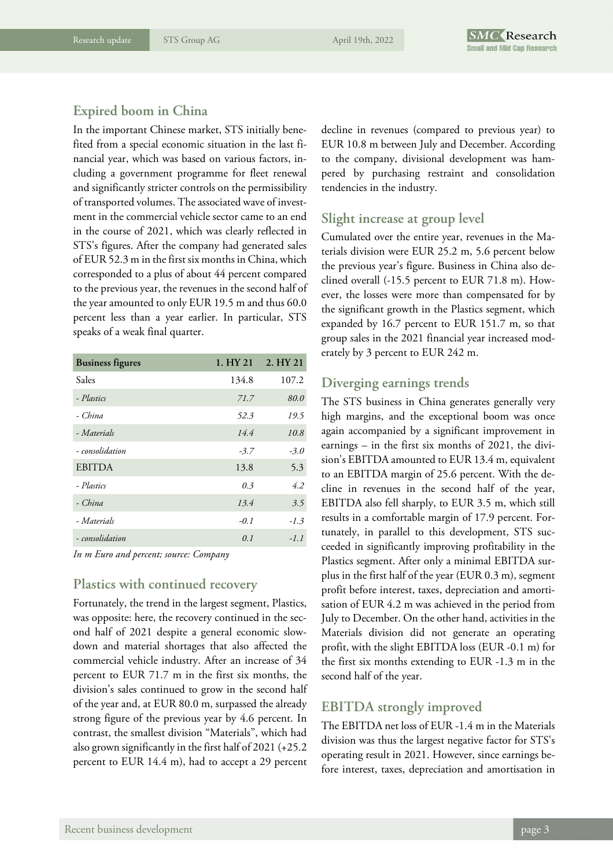#### **Expired boom in China**

In the important Chinese market, STS initially benefited from a special economic situation in the last financial year, which was based on various factors, including a government programme for fleet renewal and significantly stricter controls on the permissibility of transported volumes. The associated wave of investment in the commercial vehicle sector came to an end in the course of 2021, which was clearly reflected in STS's figures. After the company had generated sales of EUR 52.3 m in the first six months in China, which corresponded to a plus of about 44 percent compared to the previous year, the revenues in the second half of the year amounted to only EUR 19.5 m and thus 60.0 percent less than a year earlier. In particular, STS speaks of a weak final quarter.

| <b>Business figures</b> | 1. HY 21 | 2. HY 21 |
|-------------------------|----------|----------|
| Sales                   | 134.8    | 107.2    |
| - Plastics              | 71.7     | 80.0     |
| - China                 | 52.3     | 19.5     |
| - Materials             | 14.4     | 10.8     |
| - consolidation         | $-3.7$   | $-3.0$   |
| <b>EBITDA</b>           | 13.8     | 5.3      |
| - Plastics              | 0.3      | 4.2      |
| - China                 | 13.4     | 3.5      |
| - Materials             | $-0.1$   | $-1.3$   |
| - consolidation         | 0.1      | $-1.1$   |

*In m Euro and percent; source: Company* 

#### **Plastics with continued recovery**

Fortunately, the trend in the largest segment, Plastics, was opposite: here, the recovery continued in the second half of 2021 despite a general economic slowdown and material shortages that also affected the commercial vehicle industry. After an increase of 34 percent to EUR 71.7 m in the first six months, the division's sales continued to grow in the second half of the year and, at EUR 80.0 m, surpassed the already strong figure of the previous year by 4.6 percent. In contrast, the smallest division "Materials", which had also grown significantly in the first half of 2021 (+25.2 percent to EUR 14.4 m), had to accept a 29 percent

decline in revenues (compared to previous year) to EUR 10.8 m between July and December. According to the company, divisional development was hampered by purchasing restraint and consolidation tendencies in the industry.

#### **Slight increase at group level**

Cumulated over the entire year, revenues in the Materials division were EUR 25.2 m, 5.6 percent below the previous year's figure. Business in China also declined overall (-15.5 percent to EUR 71.8 m). However, the losses were more than compensated for by the significant growth in the Plastics segment, which expanded by 16.7 percent to EUR 151.7 m, so that group sales in the 2021 financial year increased moderately by 3 percent to EUR 242 m.

#### **Diverging earnings trends**

The STS business in China generates generally very high margins, and the exceptional boom was once again accompanied by a significant improvement in earnings – in the first six months of 2021, the division's EBITDA amounted to EUR 13.4 m, equivalent to an EBITDA margin of 25.6 percent. With the decline in revenues in the second half of the year, EBITDA also fell sharply, to EUR 3.5 m, which still results in a comfortable margin of 17.9 percent. Fortunately, in parallel to this development, STS succeeded in significantly improving profitability in the Plastics segment. After only a minimal EBITDA surplus in the first half of the year (EUR 0.3 m), segment profit before interest, taxes, depreciation and amortisation of EUR 4.2 m was achieved in the period from July to December. On the other hand, activities in the Materials division did not generate an operating profit, with the slight EBITDA loss (EUR -0.1 m) for the first six months extending to EUR -1.3 m in the second half of the year.

#### **EBITDA strongly improved**

The EBITDA net loss of EUR -1.4 m in the Materials division was thus the largest negative factor for STS's operating result in 2021. However, since earnings before interest, taxes, depreciation and amortisation in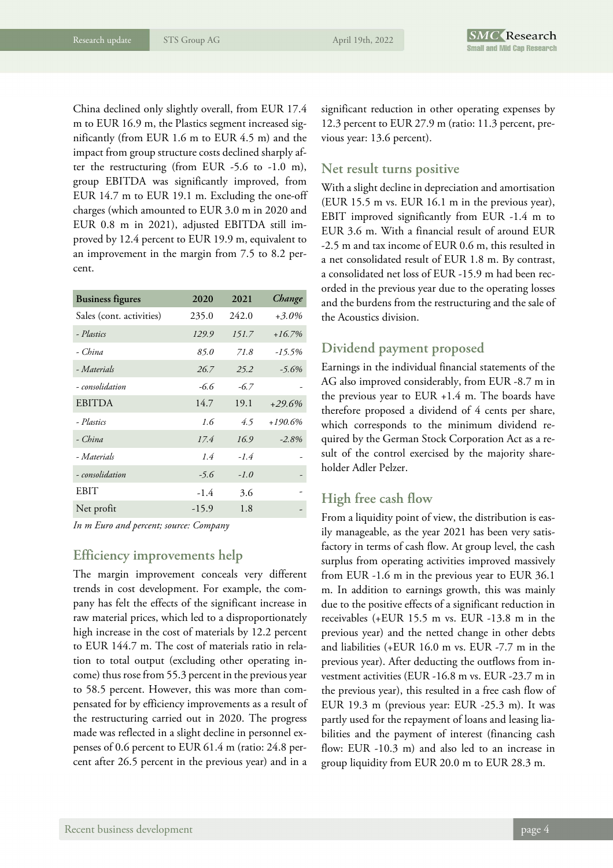China declined only slightly overall, from EUR 17.4 m to EUR 16.9 m, the Plastics segment increased significantly (from EUR 1.6 m to EUR 4.5 m) and the impact from group structure costs declined sharply after the restructuring (from EUR -5.6 to -1.0 m), group EBITDA was significantly improved, from EUR 14.7 m to EUR 19.1 m. Excluding the one-off charges (which amounted to EUR 3.0 m in 2020 and EUR 0.8 m in 2021), adjusted EBITDA still improved by 12.4 percent to EUR 19.9 m, equivalent to an improvement in the margin from 7.5 to 8.2 percent.

| <b>Business figures</b>  | 2020    | 2021   | Change     |
|--------------------------|---------|--------|------------|
| Sales (cont. activities) | 235.0   | 242.0  | $+3.0\%$   |
| - Plastics               | 129.9   | 151.7  | $+16.7%$   |
| - China                  | 85.0    | 71.8   | $-15.5%$   |
| - Materials              | 26.7    | 25.2   | $-5.6\%$   |
| - consolidation          | -6.6    | $-6.7$ |            |
| <b>EBITDA</b>            | 14.7    | 19.1   | $+29.6%$   |
| - Plastics               | 1.6     | 4.5    | $+190.6\%$ |
| - China                  | 17.4    | 16.9   | $-2.8%$    |
| - Materials              | 1.4     | $-1.4$ |            |
| - consolidation          | $-5.6$  | $-1.0$ |            |
| <b>EBIT</b>              | $-1.4$  | 3.6    |            |
| Net profit               | $-15.9$ | 1.8    |            |

*In m Euro and percent; source: Company* 

#### **Efficiency improvements help**

The margin improvement conceals very different trends in cost development. For example, the company has felt the effects of the significant increase in raw material prices, which led to a disproportionately high increase in the cost of materials by 12.2 percent to EUR 144.7 m. The cost of materials ratio in relation to total output (excluding other operating income) thus rose from 55.3 percent in the previous year to 58.5 percent. However, this was more than compensated for by efficiency improvements as a result of the restructuring carried out in 2020. The progress made was reflected in a slight decline in personnel expenses of 0.6 percent to EUR 61.4 m (ratio: 24.8 percent after 26.5 percent in the previous year) and in a

significant reduction in other operating expenses by 12.3 percent to EUR 27.9 m (ratio: 11.3 percent, previous year: 13.6 percent).

#### **Net result turns positive**

With a slight decline in depreciation and amortisation (EUR 15.5 m vs. EUR 16.1 m in the previous year), EBIT improved significantly from EUR -1.4 m to EUR 3.6 m. With a financial result of around EUR -2.5 m and tax income of EUR 0.6 m, this resulted in a net consolidated result of EUR 1.8 m. By contrast, a consolidated net loss of EUR -15.9 m had been recorded in the previous year due to the operating losses and the burdens from the restructuring and the sale of the Acoustics division.

#### **Dividend payment proposed**

Earnings in the individual financial statements of the AG also improved considerably, from EUR -8.7 m in the previous year to EUR +1.4 m. The boards have therefore proposed a dividend of 4 cents per share, which corresponds to the minimum dividend required by the German Stock Corporation Act as a result of the control exercised by the majority shareholder Adler Pelzer.

#### **High free cash flow**

From a liquidity point of view, the distribution is easily manageable, as the year 2021 has been very satisfactory in terms of cash flow. At group level, the cash surplus from operating activities improved massively from EUR -1.6 m in the previous year to EUR 36.1 m. In addition to earnings growth, this was mainly due to the positive effects of a significant reduction in receivables (+EUR 15.5 m vs. EUR -13.8 m in the previous year) and the netted change in other debts and liabilities (+EUR 16.0 m vs. EUR -7.7 m in the previous year). After deducting the outflows from investment activities (EUR -16.8 m vs. EUR -23.7 m in the previous year), this resulted in a free cash flow of EUR 19.3 m (previous year: EUR -25.3 m). It was partly used for the repayment of loans and leasing liabilities and the payment of interest (financing cash flow: EUR -10.3 m) and also led to an increase in group liquidity from EUR 20.0 m to EUR 28.3 m.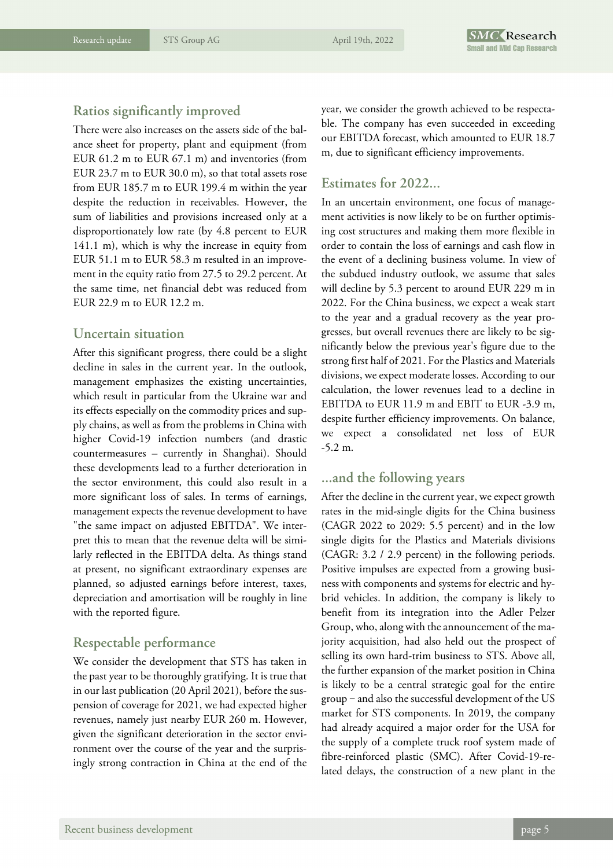#### **Ratios significantly improved**

There were also increases on the assets side of the balance sheet for property, plant and equipment (from EUR 61.2 m to EUR 67.1 m) and inventories (from EUR 23.7 m to EUR 30.0 m), so that total assets rose from EUR 185.7 m to EUR 199.4 m within the year despite the reduction in receivables. However, the sum of liabilities and provisions increased only at a disproportionately low rate (by 4.8 percent to EUR 141.1 m), which is why the increase in equity from EUR 51.1 m to EUR 58.3 m resulted in an improvement in the equity ratio from 27.5 to 29.2 percent. At the same time, net financial debt was reduced from EUR 22.9 m to EUR 12.2 m.

#### **Uncertain situation**

After this significant progress, there could be a slight decline in sales in the current year. In the outlook, management emphasizes the existing uncertainties, which result in particular from the Ukraine war and its effects especially on the commodity prices and supply chains, as well as from the problems in China with higher Covid-19 infection numbers (and drastic countermeasures – currently in Shanghai). Should these developments lead to a further deterioration in the sector environment, this could also result in a more significant loss of sales. In terms of earnings, management expects the revenue development to have "the same impact on adjusted EBITDA". We interpret this to mean that the revenue delta will be similarly reflected in the EBITDA delta. As things stand at present, no significant extraordinary expenses are planned, so adjusted earnings before interest, taxes, depreciation and amortisation will be roughly in line with the reported figure.

#### **Respectable performance**

We consider the development that STS has taken in the past year to be thoroughly gratifying. It is true that in our last publication (20 April 2021), before the suspension of coverage for 2021, we had expected higher revenues, namely just nearby EUR 260 m. However, given the significant deterioration in the sector environment over the course of the year and the surprisingly strong contraction in China at the end of the year, we consider the growth achieved to be respectable. The company has even succeeded in exceeding our EBITDA forecast, which amounted to EUR 18.7 m, due to significant efficiency improvements.

#### **Estimates for 2022...**

In an uncertain environment, one focus of management activities is now likely to be on further optimising cost structures and making them more flexible in order to contain the loss of earnings and cash flow in the event of a declining business volume. In view of the subdued industry outlook, we assume that sales will decline by 5.3 percent to around EUR 229 m in 2022. For the China business, we expect a weak start to the year and a gradual recovery as the year progresses, but overall revenues there are likely to be significantly below the previous year's figure due to the strong first half of 2021. For the Plastics and Materials divisions, we expect moderate losses. According to our calculation, the lower revenues lead to a decline in EBITDA to EUR 11.9 m and EBIT to EUR -3.9 m, despite further efficiency improvements. On balance, we expect a consolidated net loss of EUR -5.2 m.

#### **...and the following years**

After the decline in the current year, we expect growth rates in the mid-single digits for the China business (CAGR 2022 to 2029: 5.5 percent) and in the low single digits for the Plastics and Materials divisions (CAGR: 3.2 / 2.9 percent) in the following periods. Positive impulses are expected from a growing business with components and systems for electric and hybrid vehicles. In addition, the company is likely to benefit from its integration into the Adler Pelzer Group, who, along with the announcement of the majority acquisition, had also held out the prospect of selling its own hard-trim business to STS. Above all, the further expansion of the market position in China is likely to be a central strategic goal for the entire  $group - and also the successful development of the US$ market for STS components. In 2019, the company had already acquired a major order for the USA for the supply of a complete truck roof system made of fibre-reinforced plastic (SMC). After Covid-19-related delays, the construction of a new plant in the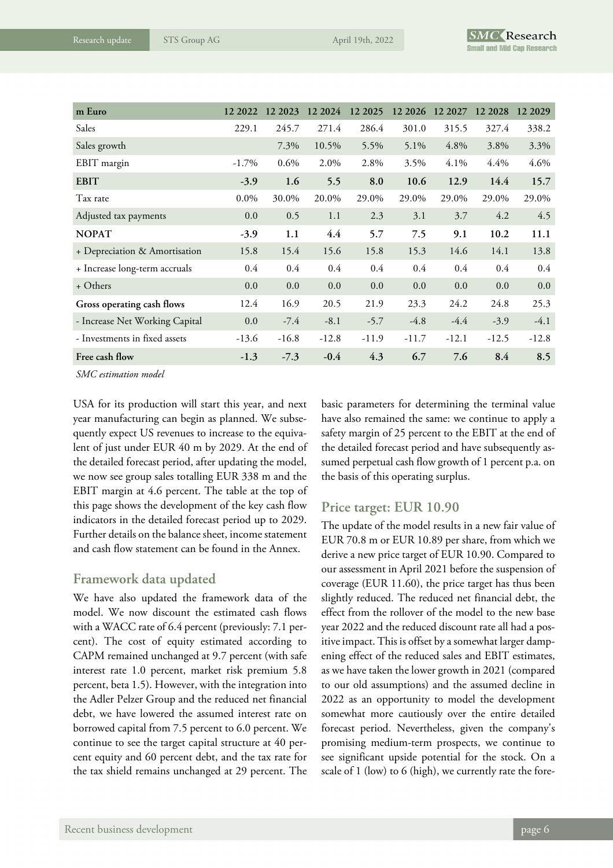| m Euro                         | 12 2022  | 12 2023 | 12 2024 | 12 2025 | 12 20 26 | 12 2027 | 12 2028 | 12 20 29 |
|--------------------------------|----------|---------|---------|---------|----------|---------|---------|----------|
| Sales                          | 229.1    | 245.7   | 271.4   | 286.4   | 301.0    | 315.5   | 327.4   | 338.2    |
| Sales growth                   |          | 7.3%    | 10.5%   | 5.5%    | 5.1%     | 4.8%    | 3.8%    | 3.3%     |
| EBIT margin                    | $-1.7\%$ | $0.6\%$ | 2.0%    | 2.8%    | 3.5%     | 4.1%    | 4.4%    | 4.6%     |
| <b>EBIT</b>                    | $-3.9$   | 1.6     | 5.5     | 8.0     | 10.6     | 12.9    | 14.4    | 15.7     |
| Tax rate                       | $0.0\%$  | 30.0%   | 20.0%   | 29.0%   | 29.0%    | 29.0%   | 29.0%   | 29.0%    |
| Adjusted tax payments          | 0.0      | 0.5     | 1.1     | 2.3     | 3.1      | 3.7     | 4.2     | 4.5      |
| <b>NOPAT</b>                   | $-3.9$   | 1.1     | 4.4     | 5.7     | 7.5      | 9.1     | 10.2    | 11.1     |
| + Depreciation & Amortisation  | 15.8     | 15.4    | 15.6    | 15.8    | 15.3     | 14.6    | 14.1    | 13.8     |
| + Increase long-term accruals  | 0.4      | 0.4     | 0.4     | 0.4     | 0.4      | 0.4     | 0.4     | 0.4      |
| + Others                       | 0.0      | 0.0     | 0.0     | 0.0     | 0.0      | 0.0     | 0.0     | 0.0      |
| Gross operating cash flows     | 12.4     | 16.9    | 20.5    | 21.9    | 23.3     | 24.2    | 24.8    | 25.3     |
| - Increase Net Working Capital | 0.0      | $-7.4$  | $-8.1$  | $-5.7$  | $-4.8$   | $-4.4$  | $-3.9$  | $-4.1$   |
| - Investments in fixed assets  | $-13.6$  | $-16.8$ | $-12.8$ | $-11.9$ | $-11.7$  | $-12.1$ | $-12.5$ | $-12.8$  |
| Free cash flow                 | $-1.3$   | $-7.3$  | $-0.4$  | 4.3     | 6.7      | 7.6     | 8.4     | 8.5      |

*SMC estimation model* 

USA for its production will start this year, and next year manufacturing can begin as planned. We subsequently expect US revenues to increase to the equivalent of just under EUR 40 m by 2029. At the end of the detailed forecast period, after updating the model, we now see group sales totalling EUR 338 m and the EBIT margin at 4.6 percent. The table at the top of this page shows the development of the key cash flow indicators in the detailed forecast period up to 2029. Further details on the balance sheet, income statement and cash flow statement can be found in the Annex.

#### **Framework data updated**

We have also updated the framework data of the model. We now discount the estimated cash flows with a WACC rate of 6.4 percent (previously: 7.1 percent). The cost of equity estimated according to CAPM remained unchanged at 9.7 percent (with safe interest rate 1.0 percent, market risk premium 5.8 percent, beta 1.5). However, with the integration into the Adler Pelzer Group and the reduced net financial debt, we have lowered the assumed interest rate on borrowed capital from 7.5 percent to 6.0 percent. We continue to see the target capital structure at 40 percent equity and 60 percent debt, and the tax rate for the tax shield remains unchanged at 29 percent. The

basic parameters for determining the terminal value have also remained the same: we continue to apply a safety margin of 25 percent to the EBIT at the end of the detailed forecast period and have subsequently assumed perpetual cash flow growth of 1 percent p.a. on the basis of this operating surplus.

#### **Price target: EUR 10.90**

The update of the model results in a new fair value of EUR 70.8 m or EUR 10.89 per share, from which we derive a new price target of EUR 10.90. Compared to our assessment in April 2021 before the suspension of coverage (EUR 11.60), the price target has thus been slightly reduced. The reduced net financial debt, the effect from the rollover of the model to the new base year 2022 and the reduced discount rate all had a positive impact. This is offset by a somewhat larger dampening effect of the reduced sales and EBIT estimates, as we have taken the lower growth in 2021 (compared to our old assumptions) and the assumed decline in 2022 as an opportunity to model the development somewhat more cautiously over the entire detailed forecast period. Nevertheless, given the company's promising medium-term prospects, we continue to see significant upside potential for the stock. On a scale of 1 (low) to 6 (high), we currently rate the fore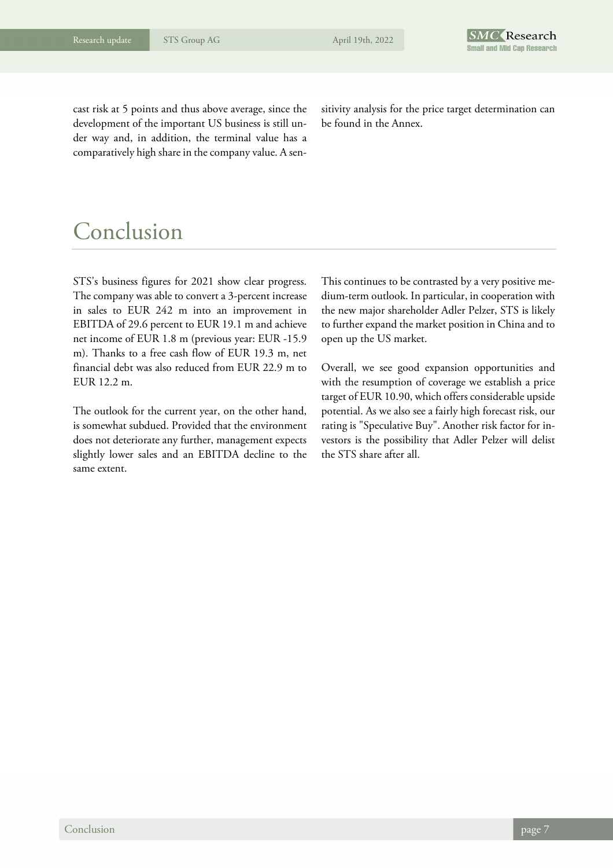cast risk at 5 points and thus above average, since the development of the important US business is still under way and, in addition, the terminal value has a comparatively high share in the company value. A sensitivity analysis for the price target determination can be found in the Annex.

### Conclusion

STS's business figures for 2021 show clear progress. The company was able to convert a 3-percent increase in sales to EUR 242 m into an improvement in EBITDA of 29.6 percent to EUR 19.1 m and achieve net income of EUR 1.8 m (previous year: EUR -15.9 m). Thanks to a free cash flow of EUR 19.3 m, net financial debt was also reduced from EUR 22.9 m to EUR 12.2 m.

The outlook for the current year, on the other hand, is somewhat subdued. Provided that the environment does not deteriorate any further, management expects slightly lower sales and an EBITDA decline to the same extent.

This continues to be contrasted by a very positive medium-term outlook. In particular, in cooperation with the new major shareholder Adler Pelzer, STS is likely to further expand the market position in China and to open up the US market.

Overall, we see good expansion opportunities and with the resumption of coverage we establish a price target of EUR 10.90, which offers considerable upside potential. As we also see a fairly high forecast risk, our rating is "Speculative Buy". Another risk factor for investors is the possibility that Adler Pelzer will delist the STS share after all.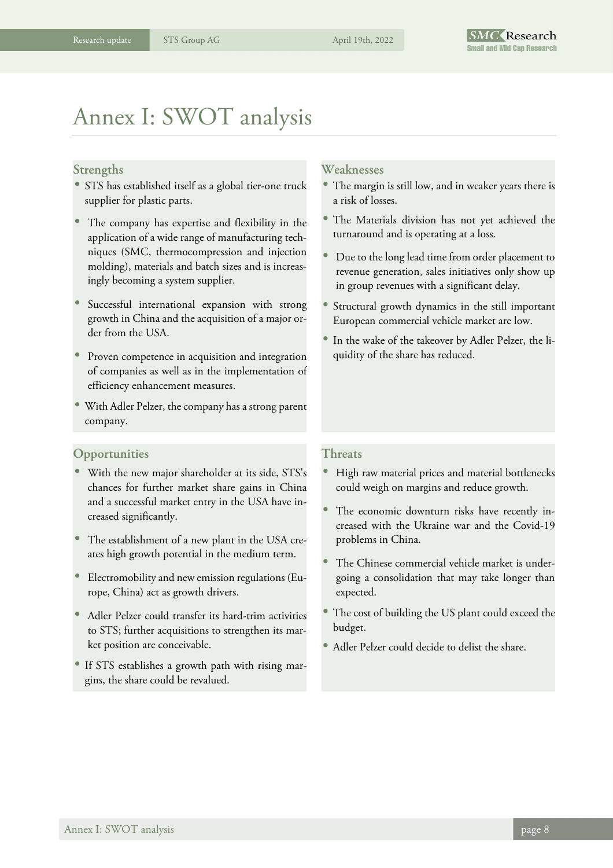### Annex I: SWOT analysis

#### **Strengths**

- STS has established itself as a global tier-one truck supplier for plastic parts.
- The company has expertise and flexibility in the application of a wide range of manufacturing techniques (SMC, thermocompression and injection molding), materials and batch sizes and is increasingly becoming a system supplier.
- Successful international expansion with strong growth in China and the acquisition of a major order from the USA.
- Proven competence in acquisition and integration of companies as well as in the implementation of efficiency enhancement measures.
- With Adler Pelzer, the company has a strong parent company.

#### **Opportunities**

- With the new major shareholder at its side, STS's chances for further market share gains in China and a successful market entry in the USA have increased significantly.
- The establishment of a new plant in the USA creates high growth potential in the medium term.
- Electromobility and new emission regulations (Europe, China) act as growth drivers.
- Adler Pelzer could transfer its hard-trim activities to STS; further acquisitions to strengthen its market position are conceivable.
- If STS establishes a growth path with rising margins, the share could be revalued.

#### **Weaknesses**

- The margin is still low, and in weaker years there is a risk of losses.
- The Materials division has not yet achieved the turnaround and is operating at a loss.
- Due to the long lead time from order placement to revenue generation, sales initiatives only show up in group revenues with a significant delay.
- Structural growth dynamics in the still important European commercial vehicle market are low.
- In the wake of the takeover by Adler Pelzer, the liquidity of the share has reduced.

#### **Threats**

- High raw material prices and material bottlenecks could weigh on margins and reduce growth.
- The economic downturn risks have recently increased with the Ukraine war and the Covid-19 problems in China.
- The Chinese commercial vehicle market is undergoing a consolidation that may take longer than expected.
- The cost of building the US plant could exceed the budget.
- Adler Pelzer could decide to delist the share.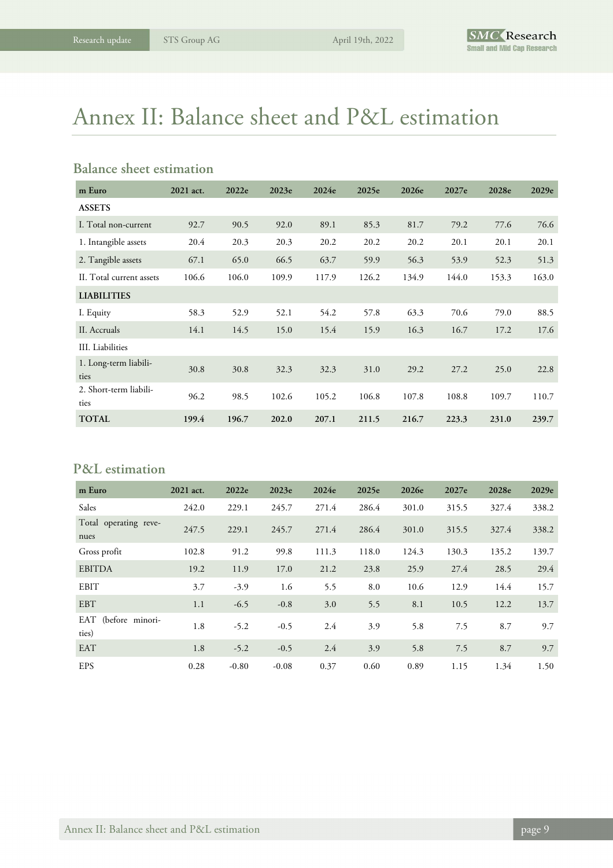# Annex II: Balance sheet and P&L estimation

#### **Balance sheet estimation**

| m Euro                         | 2021 act. | 2022e | 2023e | 2024e | 2025e | 2026e | 2027e | 2028e | 2029e |
|--------------------------------|-----------|-------|-------|-------|-------|-------|-------|-------|-------|
| <b>ASSETS</b>                  |           |       |       |       |       |       |       |       |       |
| I. Total non-current           | 92.7      | 90.5  | 92.0  | 89.1  | 85.3  | 81.7  | 79.2  | 77.6  | 76.6  |
| 1. Intangible assets           | 20.4      | 20.3  | 20.3  | 20.2  | 20.2  | 20.2  | 20.1  | 20.1  | 20.1  |
| 2. Tangible assets             | 67.1      | 65.0  | 66.5  | 63.7  | 59.9  | 56.3  | 53.9  | 52.3  | 51.3  |
| II. Total current assets       | 106.6     | 106.0 | 109.9 | 117.9 | 126.2 | 134.9 | 144.0 | 153.3 | 163.0 |
| <b>LIABILITIES</b>             |           |       |       |       |       |       |       |       |       |
| I. Equity                      | 58.3      | 52.9  | 52.1  | 54.2  | 57.8  | 63.3  | 70.6  | 79.0  | 88.5  |
| II. Accruals                   | 14.1      | 14.5  | 15.0  | 15.4  | 15.9  | 16.3  | 16.7  | 17.2  | 17.6  |
| III. Liabilities               |           |       |       |       |       |       |       |       |       |
| 1. Long-term liabili-<br>ties  | 30.8      | 30.8  | 32.3  | 32.3  | 31.0  | 29.2  | 27.2  | 25.0  | 22.8  |
| 2. Short-term liabili-<br>ties | 96.2      | 98.5  | 102.6 | 105.2 | 106.8 | 107.8 | 108.8 | 109.7 | 110.7 |
| <b>TOTAL</b>                   | 199.4     | 196.7 | 202.0 | 207.1 | 211.5 | 216.7 | 223.3 | 231.0 | 239.7 |

#### **P&L estimation**

| m Euro                        | 2021 act. | 2022e   | 2023e   | 2024e | 2025e | 2026e | 2027e | 2028e | 2029e |
|-------------------------------|-----------|---------|---------|-------|-------|-------|-------|-------|-------|
| Sales                         | 242.0     | 229.1   | 245.7   | 271.4 | 286.4 | 301.0 | 315.5 | 327.4 | 338.2 |
| Total operating reve-<br>nues | 247.5     | 229.1   | 245.7   | 271.4 | 286.4 | 301.0 | 315.5 | 327.4 | 338.2 |
| Gross profit                  | 102.8     | 91.2    | 99.8    | 111.3 | 118.0 | 124.3 | 130.3 | 135.2 | 139.7 |
| <b>EBITDA</b>                 | 19.2      | 11.9    | 17.0    | 21.2  | 23.8  | 25.9  | 27.4  | 28.5  | 29.4  |
| <b>EBIT</b>                   | 3.7       | $-3.9$  | 1.6     | 5.5   | 8.0   | 10.6  | 12.9  | 14.4  | 15.7  |
| <b>EBT</b>                    | 1.1       | $-6.5$  | $-0.8$  | 3.0   | 5.5   | 8.1   | 10.5  | 12.2  | 13.7  |
| EAT (before minori-<br>ties)  | 1.8       | $-5.2$  | $-0.5$  | 2.4   | 3.9   | 5.8   | 7.5   | 8.7   | 9.7   |
| <b>EAT</b>                    | 1.8       | $-5.2$  | $-0.5$  | 2.4   | 3.9   | 5.8   | 7.5   | 8.7   | 9.7   |
| <b>EPS</b>                    | 0.28      | $-0.80$ | $-0.08$ | 0.37  | 0.60  | 0.89  | 1.15  | 1.34  | 1.50  |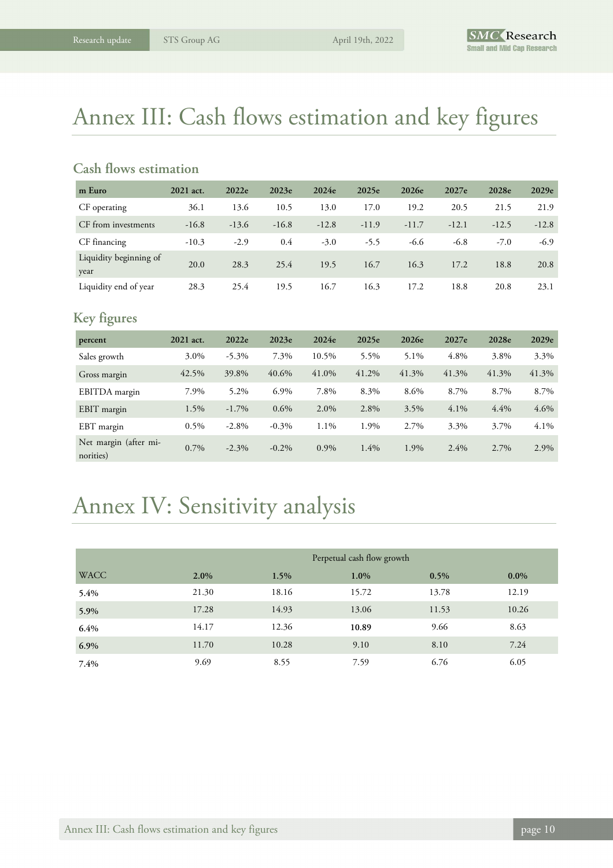## Annex III: Cash flows estimation and key figures

#### **Cash flows estimation**

| m Euro                         | 2021 act. | 2022e   | 2023e   | 2024e   | 2025e   | 2026e   | 2027e   | 2028e   | 2029e   |
|--------------------------------|-----------|---------|---------|---------|---------|---------|---------|---------|---------|
| CF operating                   | 36.1      | 13.6    | 10.5    | 13.0    | 17.0    | 19.2    | 20.5    | 21.5    | 21.9    |
| CF from investments            | $-16.8$   | $-13.6$ | $-16.8$ | $-12.8$ | $-11.9$ | $-11.7$ | $-12.1$ | $-12.5$ | $-12.8$ |
| CF financing                   | $-10.3$   | $-2.9$  | 0.4     | $-3.0$  | $-5.5$  | -6.6    | $-6.8$  | $-7.0$  | $-6.9$  |
| Liquidity beginning of<br>year | 20.0      | 28.3    | 25.4    | 19.5    | 16.7    | 16.3    | 17.2    | 18.8    | 20.8    |
| Liquidity end of year          | 28.3      | 25.4    | 19.5    | 16.7    | 16.3    | 17.2    | 18.8    | 20.8    | 23.1    |

#### **Key figures**

| percent                            | 2021 act. | 2022e    | 2023e    | 2024e   | 2025e | 2026e | 2027e   | 2028e | 2029e |
|------------------------------------|-----------|----------|----------|---------|-------|-------|---------|-------|-------|
| Sales growth                       | 3.0%      | $-5.3\%$ | 7.3%     | 10.5%   | 5.5%  | 5.1%  | 4.8%    | 3.8%  | 3.3%  |
| Gross margin                       | 42.5%     | 39.8%    | 40.6%    | 41.0%   | 41.2% | 41.3% | 41.3%   | 41.3% | 41.3% |
| EBITDA margin                      | 7.9%      | 5.2%     | 6.9%     | 7.8%    | 8.3%  | 8.6%  | 8.7%    | 8.7%  | 8.7%  |
| EBIT margin                        | 1.5%      | $-1.7\%$ | $0.6\%$  | 2.0%    | 2.8%  | 3.5%  | 4.1%    | 4.4%  | 4.6%  |
| EBT margin                         | $0.5\%$   | $-2.8\%$ | $-0.3\%$ | 1.1%    | 1.9%  | 2.7%  | 3.3%    | 3.7%  | 4.1%  |
| Net margin (after mi-<br>norities) | $0.7\%$   | $-2.3\%$ | $-0.2\%$ | $0.9\%$ | 1.4%  | 1.9%  | $2.4\%$ | 2.7%  | 2.9%  |

# Annex IV: Sensitivity analysis

|             |         |       | Perpetual cash flow growth |         |         |
|-------------|---------|-------|----------------------------|---------|---------|
| <b>WACC</b> | $2.0\%$ | 1.5%  | 1.0%                       | $0.5\%$ | $0.0\%$ |
| 5.4%        | 21.30   | 18.16 | 15.72                      | 13.78   | 12.19   |
| 5.9%        | 17.28   | 14.93 | 13.06                      | 11.53   | 10.26   |
| 6.4%        | 14.17   | 12.36 | 10.89                      | 9.66    | 8.63    |
| 6.9%        | 11.70   | 10.28 | 9.10                       | 8.10    | 7.24    |
| 7.4%        | 9.69    | 8.55  | 7.59                       | 6.76    | 6.05    |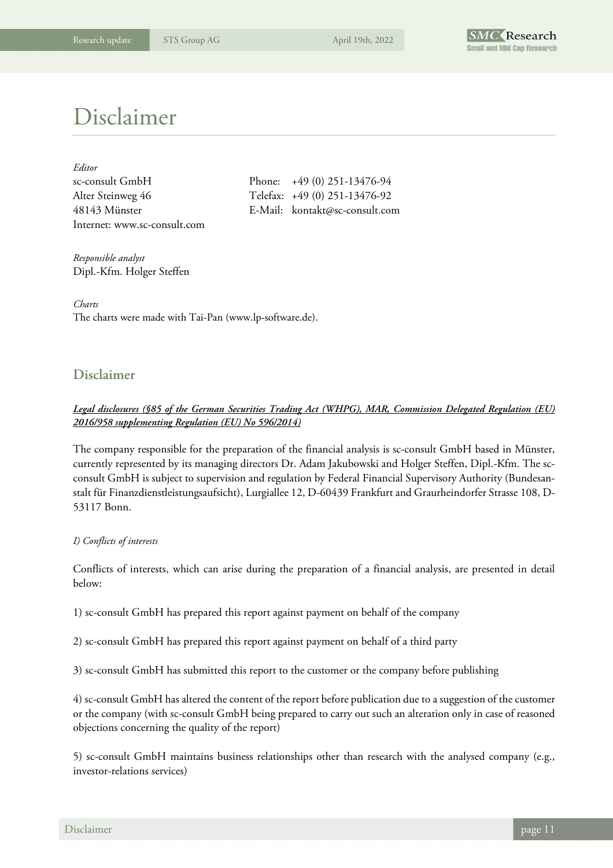

### Disclaimer

| Editor                       |         |
|------------------------------|---------|
| sc-consult GmbH              | Pho     |
| Alter Steinweg 46            | $Te]_6$ |
| 48143 Münster                | $E-N$   |
| Internet: www.sc-consult.com |         |

 $\text{snc:} \quad +49 \quad (0) \quad 251 - 13476 - 94$ efax: +49 (0) 251-13476-92 48143 Münster E-Mail: kontakt@sc-consult.com

*Responsible analyst*  Dipl.-Kfm. Holger Steffen

*Charts*  The charts were made with Tai-Pan (www.lp-software.de).

#### **Disclaimer**

#### *Legal disclosures (§85 of the German Securities Trading Act (WHPG), MAR, Commission Delegated Regulation (EU) 2016/958 supplementing Regulation (EU) No 596/2014)*

The company responsible for the preparation of the financial analysis is sc-consult GmbH based in Münster, currently represented by its managing directors Dr. Adam Jakubowski and Holger Steffen, Dipl.-Kfm. The scconsult GmbH is subject to supervision and regulation by Federal Financial Supervisory Authority (Bundesanstalt für Finanzdienstleistungsaufsicht), Lurgiallee 12, D-60439 Frankfurt and Graurheindorfer Strasse 108, D-53117 Bonn.

#### *I) Conflicts of interests*

Conflicts of interests, which can arise during the preparation of a financial analysis, are presented in detail below:

1) sc-consult GmbH has prepared this report against payment on behalf of the company

2) sc-consult GmbH has prepared this report against payment on behalf of a third party

3) sc-consult GmbH has submitted this report to the customer or the company before publishing

4) sc-consult GmbH has altered the content of the report before publication due to a suggestion of the customer or the company (with sc-consult GmbH being prepared to carry out such an alteration only in case of reasoned objections concerning the quality of the report)

5) sc-consult GmbH maintains business relationships other than research with the analysed company (e.g., investor-relations services)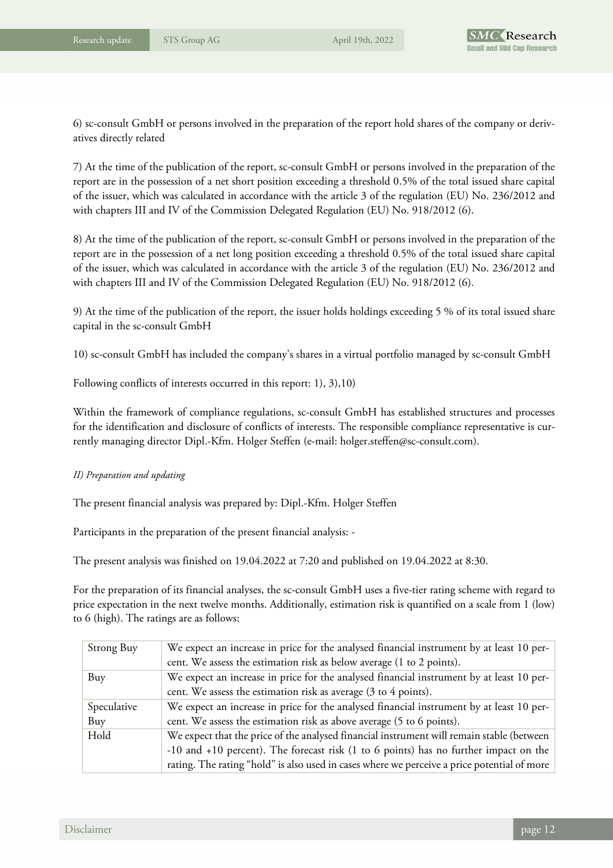6) sc-consult GmbH or persons involved in the preparation of the report hold shares of the company or derivatives directly related

7) At the time of the publication of the report, sc-consult GmbH or persons involved in the preparation of the report are in the possession of a net short position exceeding a threshold 0.5% of the total issued share capital of the issuer, which was calculated in accordance with the article 3 of the regulation (EU) No. 236/2012 and with chapters III and IV of the Commission Delegated Regulation (EU) No. 918/2012 (6).

8) At the time of the publication of the report, sc-consult GmbH or persons involved in the preparation of the report are in the possession of a net long position exceeding a threshold 0.5% of the total issued share capital of the issuer, which was calculated in accordance with the article 3 of the regulation (EU) No. 236/2012 and with chapters III and IV of the Commission Delegated Regulation (EU) No. 918/2012 (6).

9) At the time of the publication of the report, the issuer holds holdings exceeding 5 % of its total issued share capital in the sc-consult GmbH

10) sc-consult GmbH has included the company's shares in a virtual portfolio managed by sc-consult GmbH

Following conflicts of interests occurred in this report: 1), 3),10)

Within the framework of compliance regulations, sc-consult GmbH has established structures and processes for the identification and disclosure of conflicts of interests. The responsible compliance representative is currently managing director Dipl.-Kfm. Holger Steffen (e-mail: holger.steffen@sc-consult.com).

#### *II) Preparation and updating*

The present financial analysis was prepared by: Dipl.-Kfm. Holger Steffen

Participants in the preparation of the present financial analysis: -

The present analysis was finished on 19.04.2022 at 7:20 and published on 19.04.2022 at 8:30.

For the preparation of its financial analyses, the sc-consult GmbH uses a five-tier rating scheme with regard to price expectation in the next twelve months. Additionally, estimation risk is quantified on a scale from 1 (low) to 6 (high). The ratings are as follows:

| Strong Buy  | We expect an increase in price for the analysed financial instrument by at least 10 per-    |
|-------------|---------------------------------------------------------------------------------------------|
|             | cent. We assess the estimation risk as below average (1 to 2 points).                       |
| Buy         | We expect an increase in price for the analysed financial instrument by at least 10 per-    |
|             | cent. We assess the estimation risk as average (3 to 4 points).                             |
| Speculative | We expect an increase in price for the analysed financial instrument by at least 10 per-    |
| Buy         | cent. We assess the estimation risk as above average (5 to 6 points).                       |
| Hold        | We expect that the price of the analysed financial instrument will remain stable (between   |
|             | -10 and +10 percent). The forecast risk (1 to 6 points) has no further impact on the        |
|             | rating. The rating "hold" is also used in cases where we perceive a price potential of more |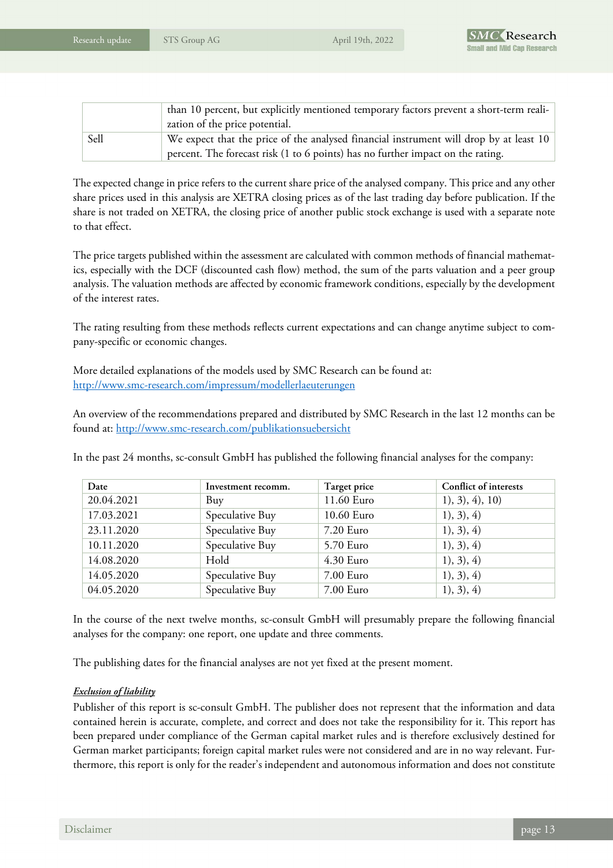|      | than 10 percent, but explicitly mentioned temporary factors prevent a short-term reali- |  |  |
|------|-----------------------------------------------------------------------------------------|--|--|
|      | zation of the price potential.                                                          |  |  |
| Sell | We expect that the price of the analysed financial instrument will drop by at least 10  |  |  |
|      | percent. The forecast risk (1 to 6 points) has no further impact on the rating.         |  |  |

The expected change in price refers to the current share price of the analysed company. This price and any other share prices used in this analysis are XETRA closing prices as of the last trading day before publication. If the share is not traded on XETRA, the closing price of another public stock exchange is used with a separate note to that effect.

The price targets published within the assessment are calculated with common methods of financial mathematics, especially with the DCF (discounted cash flow) method, the sum of the parts valuation and a peer group analysis. The valuation methods are affected by economic framework conditions, especially by the development of the interest rates.

The rating resulting from these methods reflects current expectations and can change anytime subject to company-specific or economic changes.

More detailed explanations of the models used by SMC Research can be found at: http://www.smc-research.com/impressum/modellerlaeuterungen

An overview of the recommendations prepared and distributed by SMC Research in the last 12 months can be found at: http://www.smc-research.com/publikationsuebersicht

In the past 24 months, sc-consult GmbH has published the following financial analyses for the company:

| Date       | Investment recomm. | Target price | Conflict of interests |
|------------|--------------------|--------------|-----------------------|
| 20.04.2021 | Buy                | 11.60 Euro   | 1), 3), 4), 10)       |
| 17.03.2021 | Speculative Buy    | 10.60 Euro   | 1), 3), 4)            |
| 23.11.2020 | Speculative Buy    | 7.20 Euro    | 1), 3), 4)            |
| 10.11.2020 | Speculative Buy    | 5.70 Euro    | 1), 3), 4)            |
| 14.08.2020 | Hold               | 4.30 Euro    | 1), 3), 4)            |
| 14.05.2020 | Speculative Buy    | 7.00 Euro    | 1), 3), 4)            |
| 04.05.2020 | Speculative Buy    | 7.00 Euro    | 1), 3), 4)            |

In the course of the next twelve months, sc-consult GmbH will presumably prepare the following financial analyses for the company: one report, one update and three comments.

The publishing dates for the financial analyses are not yet fixed at the present moment.

#### *Exclusion of liability*

Publisher of this report is sc-consult GmbH. The publisher does not represent that the information and data contained herein is accurate, complete, and correct and does not take the responsibility for it. This report has been prepared under compliance of the German capital market rules and is therefore exclusively destined for German market participants; foreign capital market rules were not considered and are in no way relevant. Furthermore, this report is only for the reader's independent and autonomous information and does not constitute